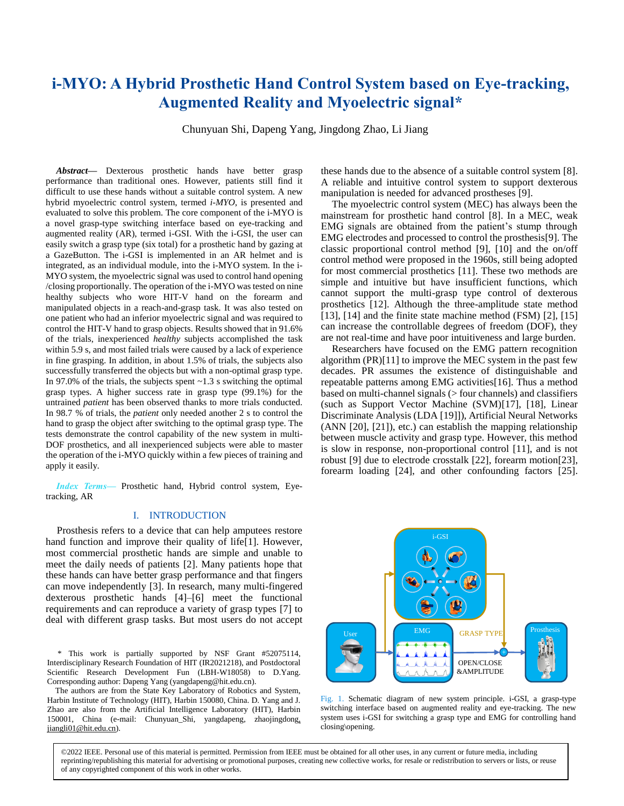# **i-MYO: A Hybrid Prosthetic Hand Control System based on Eye-tracking, Augmented Reality and Myoelectric signal\***

Chunyuan Shi, Dapeng Yang, Jingdong Zhao, Li Jiang

*Abstract***—** Dexterous prosthetic hands have better grasp performance than traditional ones. However, patients still find it difficult to use these hands without a suitable control system. A new hybrid myoelectric control system, termed *i-MYO*, is presented and evaluated to solve this problem. The core component of the i-MYO is a novel grasp-type switching interface based on eye-tracking and augmented reality (AR), termed i-GSI. With the i-GSI, the user can easily switch a grasp type (six total) for a prosthetic hand by gazing at a GazeButton. The i-GSI is implemented in an AR helmet and is integrated, as an individual module, into the i-MYO system. In the i-MYO system, the myoelectric signal was used to control hand opening /closing proportionally. The operation of the i-MYO was tested on nine healthy subjects who wore HIT-V hand on the forearm and manipulated objects in a reach-and-grasp task. It was also tested on one patient who had an inferior myoelectric signal and was required to control the HIT-V hand to grasp objects. Results showed that in 91.6% of the trials, inexperienced *healthy* subjects accomplished the task within 5.9 s, and most failed trials were caused by a lack of experience in fine grasping. In addition, in about 1.5% of trials, the subjects also successfully transferred the objects but with a non-optimal grasp type. In 97.0% of the trials, the subjects spent  $\sim$ 1.3 s switching the optimal grasp types. A higher success rate in grasp type (99.1%) for the untrained *patient* has been observed thanks to more trials conducted. In 98.7 % of trials, the *patient* only needed another 2 s to control the hand to grasp the object after switching to the optimal grasp type. The tests demonstrate the control capability of the new system in multi-DOF prosthetics, and all inexperienced subjects were able to master the operation of the i-MYO quickly within a few pieces of training and apply it easily.

*Index Terms—* Prosthetic hand, Hybrid control system, Eyetracking, AR

## I. INTRODUCTION

Prosthesis refers to a device that can help amputees restore hand function and improve their quality of life<sup>[1]</sup>. However, most commercial prosthetic hands are simple and unable to meet the daily needs of patients [2]. Many patients hope that these hands can have better grasp performance and that fingers can move independently [3]. In research, many multi-fingered dexterous prosthetic hands [4]–[6] meet the functional requirements and can reproduce a variety of grasp types [7] to deal with different grasp tasks. But most users do not accept

\* This work is partially supported by NSF Grant #52075114, Interdisciplinary Research Foundation of HIT (IR2021218), and Postdoctoral Scientific Research Development Fun (LBH-W18058) to D.Yang. Corresponding author: Dapeng Yang (yangdapeng@hit.edu.cn).

The authors are from the State Key Laboratory of Robotics and System, Harbin Institute of Technology (HIT), Harbin 150080, China. D. Yang and J. Zhao are also from the Artificial Intelligence Laboratory (HIT), Harbin 150001, China (e-mail: Chunyuan\_Shi, yangdapeng, zhaojingdon[g,](mailto:,%20%20%20jiangli01@hit.edu.cn)  [jiangli01@hit.edu.cn\)](mailto:,%20%20%20jiangli01@hit.edu.cn).

these hands due to the absence of a suitable control system [8]. A reliable and intuitive control system to support dexterous manipulation is needed for advanced prostheses [9].

The myoelectric control system (MEC) has always been the mainstream for prosthetic hand control [8]. In a MEC, weak EMG signals are obtained from the patient's stump through EMG electrodes and processed to control the prosthesis[9]. The classic proportional control method [9], [10] and the on/off control method were proposed in the 1960s, still being adopted for most commercial prosthetics [11]. These two methods are simple and intuitive but have insufficient functions, which cannot support the multi-grasp type control of dexterous prosthetics [12]. Although the three-amplitude state method [13], [14] and the finite state machine method (FSM) [2], [15] can increase the controllable degrees of freedom (DOF), they are not real-time and have poor intuitiveness and large burden.

Researchers have focused on the EMG pattern recognition algorithm  $(PR)[11]$  to improve the MEC system in the past few decades. PR assumes the existence of distinguishable and repeatable patterns among EMG activities[16]. Thus a method based on multi-channel signals (> four channels) and classifiers (such as Support Vector Machine (SVM)[17], [18], Linear Discriminate Analysis (LDA [19]]), Artificial Neural Networks (ANN [20], [21]), etc.) can establish the mapping relationship between muscle activity and grasp type. However, this method is slow in response, non-proportional control [11], and is not robust [9] due to electrode crosstalk [22], forearm motion[23], forearm loading [24], and other confounding factors [25].



Fig. 1. Schematic diagram of new system principle. i-GSI, a grasp-type switching interface based on augmented reality and eye-tracking. The new system uses i-GSI for switching a grasp type and EMG for controlling hand closing\opening.

©2022 IEEE. Personal use of this material is permitted. Permission from IEEE must be obtained for all other uses, in any current or future media, including reprinting/republishing this material for advertising or promotional purposes, creating new collective works, for resale or redistribution to servers or lists, or reuse of any copyrighted component of this work in other works.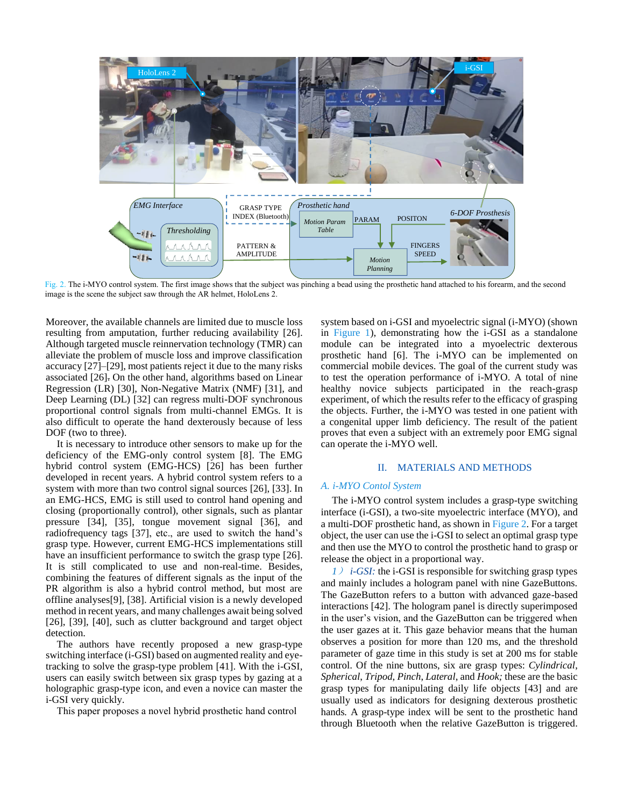

Fig. 2. The i-MYO control system. The first image shows that the subject was pinching a bead using the prosthetic hand attached to his forearm, and the second image is the scene the subject saw through the AR helmet, HoloLens 2.

Moreover, the available channels are limited due to muscle loss resulting from amputation, further reducing availability [26]. Although targeted muscle reinnervation technology (TMR) can alleviate the problem of muscle loss and improve classification accuracy [27]–[29], most patients reject it due to the many risks associated [26]. On the other hand, algorithms based on Linear Regression (LR) [30], Non-Negative Matrix (NMF) [31], and Deep Learning (DL) [32] can regress multi-DOF synchronous proportional control signals from multi-channel EMGs. It is also difficult to operate the hand dexterously because of less DOF (two to three).

It is necessary to introduce other sensors to make up for the deficiency of the EMG-only control system [8]. The EMG hybrid control system (EMG-HCS) [26] has been further developed in recent years. A hybrid control system refers to a system with more than two control signal sources [26], [33]. In an EMG-HCS, EMG is still used to control hand opening and closing (proportionally control), other signals, such as plantar pressure [34], [35], tongue movement signal [36], and radiofrequency tags [37], etc., are used to switch the hand's grasp type. However, current EMG-HCS implementations still have an insufficient performance to switch the grasp type [26]. It is still complicated to use and non-real-time. Besides, combining the features of different signals as the input of the PR algorithm is also a hybrid control method, but most are offline analyses[9], [38]. Artificial vision is a newly developed method in recent years, and many challenges await being solved [26], [39], [40], such as clutter background and target object detection.

The authors have recently proposed a new grasp-type switching interface (i-GSI) based on augmented reality and eyetracking to solve the grasp-type problem [41]. With the i-GSI, users can easily switch between six grasp types by gazing at a holographic grasp-type icon, and even a novice can master the i-GSI very quickly.

This paper proposes a novel hybrid prosthetic hand control

system based on i-GSI and myoelectric signal (i-MYO) (shown in Figure 1), demonstrating how the i-GSI as a standalone module can be integrated into a myoelectric dexterous prosthetic hand [6]. The i-MYO can be implemented on commercial mobile devices. The goal of the current study was to test the operation performance of i-MYO. A total of nine healthy novice subjects participated in the reach-grasp experiment, of which the results refer to the efficacy of grasping the objects. Further, the i-MYO was tested in one patient with a congenital upper limb deficiency. The result of the patient proves that even a subject with an extremely poor EMG signal can operate the i-MYO well.

### II. MATERIALS AND METHODS

## *A. i-MYO Contol System*

The i-MYO control system includes a grasp-type switching interface (i-GSI), a two-site myoelectric interface (MYO), and a multi-DOF prosthetic hand, as shown in Figure 2. For a target object, the user can use the i-GSI to select an optimal grasp type and then use the MYO to control the prosthetic hand to grasp or release the object in a proportional way.

*1*) *i-GSI:* the i-GSI is responsible for switching grasp types and mainly includes a hologram panel with nine GazeButtons. The GazeButton refers to a button with advanced gaze-based interactions [42]. The hologram panel is directly superimposed in the user's vision, and the GazeButton can be triggered when the user gazes at it. This gaze behavior means that the human observes a position for more than 120 ms, and the threshold parameter of gaze time in this study is set at 200 ms for stable control. Of the nine buttons, six are grasp types: *Cylindrical*, *Spherical*, *Tripod*, *Pinch*, *Lateral*, and *Hook;* these are the basic grasp types for manipulating daily life object*s* [43] and are usually used as indicators for designing dexterous prosthetic hands*.* A grasp-type index will be sent to the prosthetic hand through Bluetooth when the relative GazeButton is triggered.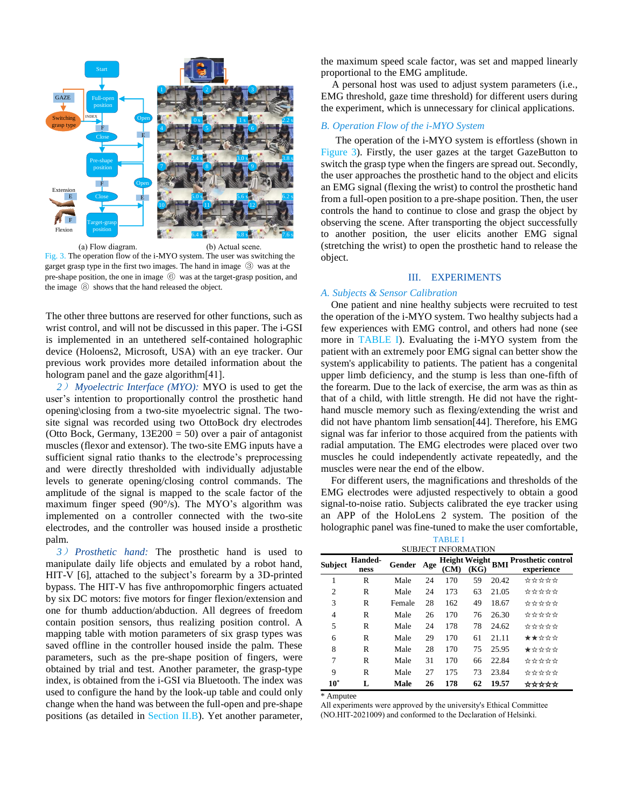

(a) Flow diagram. (b) Actual scene. Fig. 3. The operation flow of the i-MYO system. The user was switching the garget grasp type in the first two images. The hand in image ③ was at the pre-shape position, the one in image ⑥ was at the target-grasp position, and the image ⑧ shows that the hand released the object.

The other three buttons are reserved for other functions, such as wrist control, and will not be discussed in this paper. The i-GSI is implemented in an untethered self-contained holographic device (Holoens2, Microsoft, USA) with an eye tracker. Our previous work provides more detailed information about the hologram panel and the gaze algorithm[41].

*2*) *Myoelectric Interface (MYO):* MYO is used to get the user's intention to proportionally control the prosthetic hand opening\closing from a two-site myoelectric signal. The twosite signal was recorded using two OttoBock dry electrodes (Otto Bock, Germany, 13E200 = 50) over a pair of antagonist muscles (flexor and extensor). The two-site EMG inputs have a sufficient signal ratio thanks to the electrode's preprocessing and were directly thresholded with individually adjustable levels to generate opening/closing control commands. The amplitude of the signal is mapped to the scale factor of the maximum finger speed (90°/s). The MYO's algorithm was implemented on a controller connected with the two-site electrodes, and the controller was housed inside a prosthetic palm.

*3*) *Prosthetic hand:* The prosthetic hand is used to manipulate daily life objects and emulated by a robot hand, HIT-V [6], attached to the subject's forearm by a 3D-printed bypass. The HIT-V has five anthropomorphic fingers actuated by six DC motors: five motors for finger flexion/extension and one for thumb adduction/abduction. All degrees of freedom contain position sensors, thus realizing position control. A mapping table with motion parameters of six grasp types was saved offline in the controller housed inside the palm. These parameters, such as the pre-shape position of fingers, were obtained by trial and test. Another parameter, the grasp-type index, is obtained from the i-GSI via Bluetooth. The index was used to configure the hand by the look-up table and could only change when the hand was between the full-open and pre-shape positions (as detailed in Section II.B). Yet another parameter, the maximum speed scale factor, was set and mapped linearly proportional to the EMG amplitude.

A personal host was used to adjust system parameters (i.e., EMG threshold, gaze time threshold) for different users during the experiment, which is unnecessary for clinical applications.

# *B. Operation Flow of the i-MYO System*

The operation of the i-MYO system is effortless (shown in Figure 3). Firstly, the user gazes at the target GazeButton to switch the grasp type when the fingers are spread out. Secondly, the user approaches the prosthetic hand to the object and elicits an EMG signal (flexing the wrist) to control the prosthetic hand from a full-open position to a pre-shape position. Then, the user controls the hand to continue to close and grasp the object by observing the scene. After transporting the object successfully to another position, the user elicits another EMG signal (stretching the wrist) to open the prosthetic hand to release the object.

## III. EXPERIMENTS

## *A. Subjects & Sensor Calibration*

One patient and nine healthy subjects were recruited to test the operation of the i-MYO system. Two healthy subjects had a few experiences with EMG control, and others had none (see more in TABLE I). Evaluating the i-MYO system from the patient with an extremely poor EMG signal can better show the system's applicability to patients. The patient has a congenital upper limb deficiency, and the stump is less than one-fifth of the forearm. Due to the lack of exercise, the arm was as thin as that of a child, with little strength. He did not have the righthand muscle memory such as flexing/extending the wrist and did not have phantom limb sensation[44]. Therefore, his EMG signal was far inferior to those acquired from the patients with radial amputation. The EMG electrodes were placed over two muscles he could independently activate repeatedly, and the muscles were near the end of the elbow.

For different users, the magnifications and thresholds of the EMG electrodes were adjusted respectively to obtain a good signal-to-noise ratio. Subjects calibrated the eye tracker using an APP of the HoloLens 2 system. The position of the holographic panel was fine-tuned to make the user comfortable,

| <b>TABLE I</b><br>SUBJECT INFORMATION |                        |        |     |                       |      |            |                                         |  |
|---------------------------------------|------------------------|--------|-----|-----------------------|------|------------|-----------------------------------------|--|
| Subject                               | <b>Handed-</b><br>ness | Gender | Age | Height Weight<br>(CM) | (KG) | <b>BMI</b> | <b>Prosthetic control</b><br>experience |  |
| 1                                     | R                      | Male   | 24  | 170                   | 59   | 20.42      | *****                                   |  |
| $\overline{c}$                        | R                      | Male   | 24  | 173                   | 63   | 21.05      | ☆☆☆☆☆                                   |  |
| 3                                     | R                      | Female | 28  | 162                   | 49   | 18.67      | *****                                   |  |
| $\overline{4}$                        | R                      | Male   | 26  | 170                   | 76   | 26.30      | ☆☆☆☆☆                                   |  |
| 5                                     | R                      | Male   | 24  | 178                   | 78   | 24.62      | ☆☆☆☆☆                                   |  |
| 6                                     | R                      | Male   | 29  | 170                   | 61   | 21.11      | ★★☆☆☆                                   |  |
| 8                                     | R                      | Male   | 28  | 170                   | 75   | 25.95      | ★☆☆☆☆                                   |  |
| 7                                     | R                      | Male   | 31  | 170                   | 66   | 22.84      | *****                                   |  |
| 9                                     | R                      | Male   | 27  | 175                   | 73   | 23.84      | *****                                   |  |
| $10^*$                                |                        | Male   | 26  | 178                   | 62   | 19.57      | *****                                   |  |

\* Amputee

All experiments were approved by the university's Ethical Committee (NO.HIT-2021009) and conformed to the Declaration of Helsinki.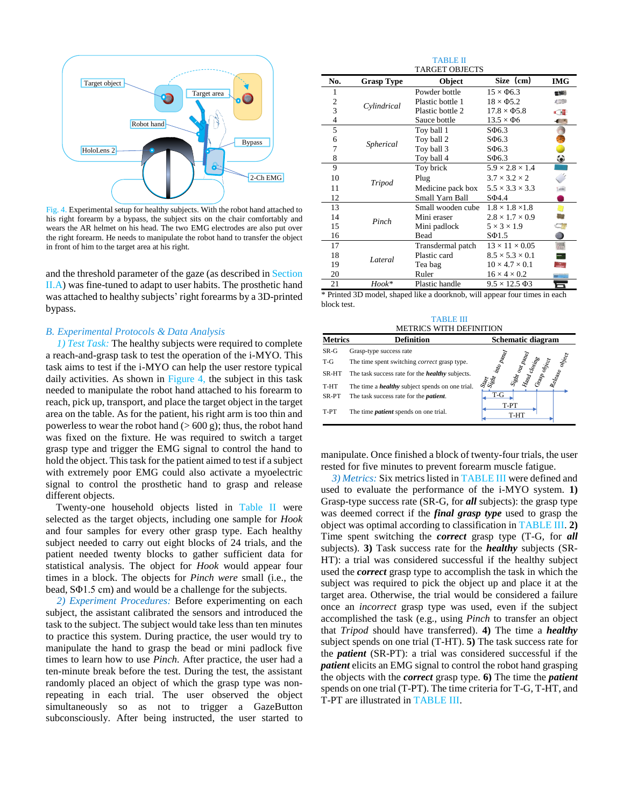

Fig. 4. Experimental setup for healthy subjects. With the robot hand attached to his right forearm by a bypass, the subject sits on the chair comfortably and wears the AR helmet on his head. The two EMG electrodes are also put over the right forearm. He needs to manipulate the robot hand to transfer the object in front of him to the target area at his right.

and the threshold parameter of the gaze (as described in Section II.A) was fine-tuned to adapt to user habits. The prosthetic hand was attached to healthy subjects' right forearms by a 3D-printed bypass.

### *B. Experimental Protocols & Data Analysis*

*1) Test Task:* The healthy subjects were required to complete a reach-and-grasp task to test the operation of the i-MYO. This task aims to test if the i-MYO can help the user restore typical daily activities. As shown in Figure 4, the subject in this task needed to manipulate the robot hand attached to his forearm to reach, pick up, transport, and place the target object in the target area on the table. As for the patient, his right arm is too thin and powerless to wear the robot hand  $(> 600 \text{ g})$ ; thus, the robot hand was fixed on the fixture. He was required to switch a target grasp type and trigger the EMG signal to control the hand to hold the object. This task for the patient aimed to test if a subject with extremely poor EMG could also activate a myoelectric signal to control the prosthetic hand to grasp and release different objects.

Twenty-one household objects listed in Table II were selected as the target objects, including one sample for *Hook*  and four samples for every other grasp type. Each healthy subject needed to carry out eight blocks of 24 trials, and the patient needed twenty blocks to gather sufficient data for statistical analysis. The object for *Hook* would appear four times in a block. The objects for *Pinch were* small (i.e., the bead, SΦ1.5 cm) and would be a challenge for the subjects.

*2) Experiment Procedures:* Before experimenting on each subject, the assistant calibrated the sensors and introduced the task to the subject. The subject would take less than ten minutes to practice this system. During practice, the user would try to manipulate the hand to grasp the bead or mini padlock five times to learn how to use *Pinch.* After practice, the user had a ten-minute break before the test. During the test, the assistant randomly placed an object of which the grasp type was nonrepeating in each trial. The user observed the object simultaneously so as not to trigger a GazeButton subconsciously. After being instructed, the user started to

|                       |                   | <b>TABLE II</b>   |                             |               |  |  |  |
|-----------------------|-------------------|-------------------|-----------------------------|---------------|--|--|--|
| <b>TARGET OBJECTS</b> |                   |                   |                             |               |  |  |  |
| No.                   | <b>Grasp Type</b> | Object            | Size (cm)                   | <b>IMG</b>    |  |  |  |
| 1                     |                   | Powder bottle     | $15 \times \Phi$ 6.3        | <b>BEAR</b>   |  |  |  |
| $\overline{c}$        | Cylindrical       | Plastic bottle 1  | $18 \times \Phi$ 5.2        | <b>CARD</b>   |  |  |  |
| 3                     |                   | Plastic bottle 2  | $17.8 \times \Phi$ 5.8      | $\sqrt{3}$    |  |  |  |
| 4                     |                   | Sauce bottle      | $13.5 \times \Phi6$         | $\mathcal{L}$ |  |  |  |
| 5                     |                   | Toy ball 1        | $S\Phi$ 6.3                 |               |  |  |  |
| 6                     | Spherical         | Toy ball 2        | $S\Phi$ 6.3                 |               |  |  |  |
| 7                     |                   | Toy ball 3        | $S\Phi$ 6.3                 |               |  |  |  |
| 8                     |                   | Toy ball 4        | $S\Phi$ 6.3                 | ۰             |  |  |  |
| 9                     |                   | Toy brick         | $5.9 \times 2.8 \times 1.4$ |               |  |  |  |
| 10                    | Tripod            | Plug              | $3.7 \times 3.2 \times 2$   |               |  |  |  |
| 11                    |                   | Medicine pack box | $5.5 \times 3.3 \times 3.3$ | $[1 - 1]$     |  |  |  |
| 12                    |                   | Small Yarn Ball   | $S\Phi4.4$                  |               |  |  |  |
| 13                    |                   | Small wooden cube | $1.8 \times 1.8 \times 1.8$ | n             |  |  |  |
| 14                    | Pinch             | Mini eraser       | $2.8 \times 1.7 \times 0.9$ |               |  |  |  |
| 15                    |                   | Mini padlock      | $5 \times 3 \times 1.9$     | - II          |  |  |  |
| 16                    |                   | Bead              | $S\Phi$ 1.5                 | $\bullet$     |  |  |  |
| 17                    |                   | Transdermal patch | $13 \times 11 \times 0.05$  | 疆             |  |  |  |
| 18                    | Lateral           | Plastic card      | $8.5 \times 5.3 \times 0.1$ | Ξ             |  |  |  |
| 19                    |                   | Tea bag           | $10 \times 4.7 \times 0.1$  | <b>CASE</b>   |  |  |  |
| 20                    |                   | Ruler             | $16 \times 4 \times 0.2$    |               |  |  |  |
| 21                    | Hook*             | Plastic handle    | $9.5 \times 12.5 \,\Phi3$   | 6             |  |  |  |

\* Printed 3D model, shaped like a doorknob, will appear four times in each block test.

TABLE III METRICS WITH DEFINITION

| <b>Metrics</b> | <b>Definition</b>                                      | Schematic diagram                                                              |  |  |
|----------------|--------------------------------------------------------|--------------------------------------------------------------------------------|--|--|
| SR-G           | Grasp-type success rate                                |                                                                                |  |  |
| T-G            | The time spent switching <i>correct</i> grasp type.    | into panel<br>our panel<br>$o_{b_{c_{c_{\ell}}}}$<br>$o_{b_{\rm PQ}}$<br>losin |  |  |
| SR-HT          | The task success rate for the <i>healthy</i> subjects. | elease<br>$s_p^2$<br>Pue                                                       |  |  |
| T-HT           | The time a <i>healthy</i> subject spends on one trial. | Seatt State                                                                    |  |  |
| SR-PT          | The task success rate for the <i>patient</i> .         | T-G                                                                            |  |  |
| T-PT           | The time <i>patient</i> spends on one trial.           | T-PT<br>T-HT                                                                   |  |  |

manipulate. Once finished a block of twenty-four trials, the user rested for five minutes to prevent forearm muscle fatigue.

*3) Metrics:* Six metrics listed in TABLE III were defined and used to evaluate the performance of the i-MYO system. **1)** Grasp-type success rate (SR-G, for *all* subjects): the grasp type was deemed correct if the *final grasp type* used to grasp the object was optimal according to classification in TABLE III. **2)** Time spent switching the *correct* grasp type (T-G, for *all* subjects). **3)** Task success rate for the *healthy* subjects (SR-HT): a trial was considered successful if the healthy subject used the *correct* grasp type to accomplish the task in which the subject was required to pick the object up and place it at the target area. Otherwise, the trial would be considered a failure once an *incorrect* grasp type was used, even if the subject accomplished the task (e.g., using *Pinch* to transfer an object that *Tripod* should have transferred). **4)** The time a *healthy* subject spends on one trial (T-HT). **5)** The task success rate for the *patient* (SR-PT): a trial was considered successful if the *patient* elicits an EMG signal to control the robot hand grasping the objects with the *correct* grasp type. **6)** The time the *patient* spends on one trial (T-PT). The time criteria for T-G, T-HT, and T-PT are illustrated in TABLE III.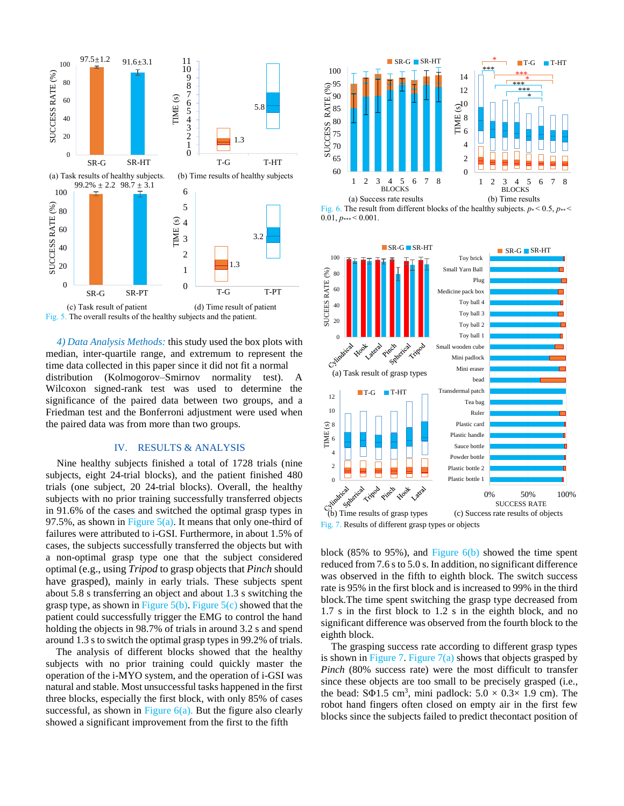

*4) Data Analysis Methods:* this study used the box plots with median, inter-quartile range, and extremum to represent the time data collected in this paper since it did not fit a normal distribution (Kolmogorov–Smirnov normality test). A Wilcoxon signed-rank test was used to determine the significance of the paired data between two groups, and a Friedman test and the Bonferroni adjustment were used when the paired data was from more than two groups.

## IV. RESULTS & ANALYSIS

Nine healthy subjects finished a total of 1728 trials (nine subjects, eight 24-trial blocks), and the patient finished 480 trials (one subject, 20 24-trial blocks). Overall, the healthy subjects with no prior training successfully transferred objects in 91.6% of the cases and switched the optimal grasp types in 97.5%, as shown in Figure  $5(a)$ . It means that only one-third of failures were attributed to i-GSI. Furthermore, in about 1.5% of cases, the subjects successfully transferred the objects but with a non-optimal grasp type one that the subject considered optimal (e.g., using *Tripod* to grasp objects that *Pinch* should have grasped), mainly in early trials. These subjects spent about 5.8 s transferring an object and about 1.3 s switching the grasp type, as shown in Figure  $5(b)$ . Figure  $5(c)$  showed that the patient could successfully trigger the EMG to control the hand holding the objects in 98.7% of trials in around 3.2 s and spend around 1.3 s to switch the optimal grasp types in 99.2% of trials.

The analysis of different blocks showed that the healthy subjects with no prior training could quickly master the operation of the i-MYO system, and the operation of i-GSI was natural and stable. Most unsuccessful tasks happened in the first three blocks, especially the first block, with only 85% of cases successful, as shown in Figure  $6(a)$ . But the figure also clearly showed a significant improvement from the first to the fifth







block (85% to 95%), and Figure  $6(b)$  showed the time spent reduced from 7.6 s to 5.0 s. In addition, no significant difference was observed in the fifth to eighth block. The switch success rate is 95% in the first block and is increased to 99% in the third block.The time spent switching the grasp type decreased from 1.7 s in the first block to 1.2 s in the eighth block, and no significant difference was observed from the fourth block to the eighth block.

The grasping success rate according to different grasp types is shown in Figure 7. Figure  $7(a)$  shows that objects grasped by *Pinch* (80% success rate) were the most difficult to transfer since these objects are too small to be precisely grasped (i.e., the bead:  $S\Phi$ 1.5 cm<sup>3</sup>, mini padlock:  $5.0 \times 0.3 \times 1.9$  cm). The robot hand fingers often closed on empty air in the first few blocks since the subjects failed to predict thecontact position of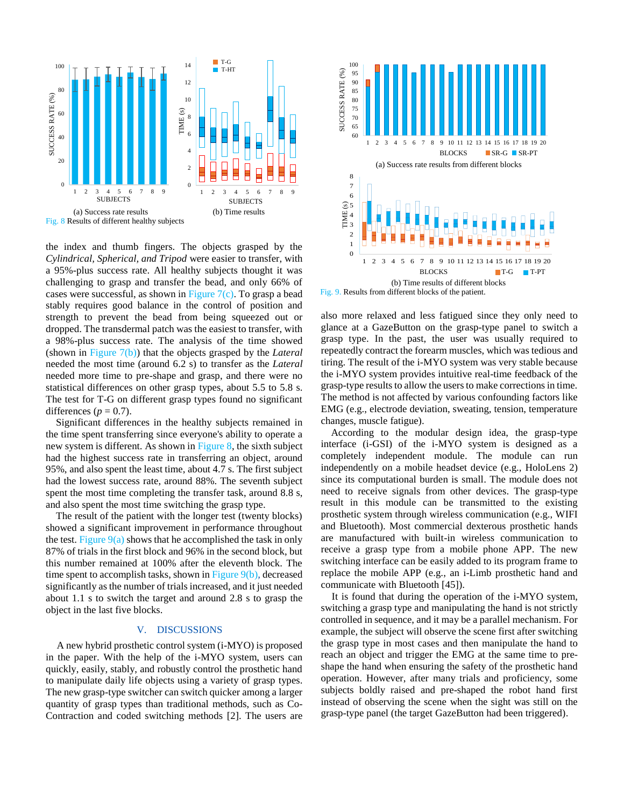

the index and thumb fingers. The objects grasped by the *Cylindrical, Spherical, and Tripod* were easier to transfer, with a 95%-plus success rate. All healthy subjects thought it was challenging to grasp and transfer the bead, and only 66% of cases were successful, as shown in Figure  $7(c)$ . To grasp a bead stably requires good balance in the control of position and strength to prevent the bead from being squeezed out or dropped. The transdermal patch was the easiest to transfer, with a 98%-plus success rate. The analysis of the time showed (shown in Figure 7(b)) that the objects grasped by the *Lateral* needed the most time (around 6.2 s) to transfer as the *Lateral*  needed more time to pre-shape and grasp, and there were no statistical differences on other grasp types, about 5.5 to 5.8 s. The test for T-G on different grasp types found no significant differences ( $p = 0.7$ ).

Significant differences in the healthy subjects remained in the time spent transferring since everyone's ability to operate a new system is different. As shown in Figure 8, the sixth subject had the highest success rate in transferring an object, around 95%, and also spent the least time, about 4.7 s. The first subject had the lowest success rate, around 88%. The seventh subject spent the most time completing the transfer task, around 8.8 s, and also spent the most time switching the grasp type.

The result of the patient with the longer test (twenty blocks) showed a significant improvement in performance throughout the test. Figure  $9(a)$  shows that he accomplished the task in only 87% of trials in the first block and 96% in the second block, but this number remained at 100% after the eleventh block. The time spent to accomplish tasks, shown in Figure 9(b)*,* decreased significantly as the number of trialsincreased, and it just needed about 1.1 s to switch the target and around 2.8 s to grasp the object in the last five blocks.

## V. DISCUSSIONS

A new hybrid prosthetic control system (i-MYO) is proposed in the paper. With the help of the i-MYO system, users can quickly, easily, stably, and robustly control the prosthetic hand to manipulate daily life objects using a variety of grasp types. The new grasp-type switcher can switch quicker among a larger quantity of grasp types than traditional methods, such as Co-Contraction and coded switching methods [2]. The users are



Fig. 9. Results from different blocks of the patient.

also more relaxed and less fatigued since they only need to glance at a GazeButton on the grasp-type panel to switch a grasp type. In the past, the user was usually required to repeatedly contract the forearm muscles, which was tedious and tiring. The result of the i-MYO system was very stable because the i-MYO system provides intuitive real-time feedback of the grasp-type results to allow the users to make corrections in time. The method is not affected by various confounding factors like EMG (e.g., electrode deviation, sweating, tension, temperature changes, muscle fatigue).

According to the modular design idea, the grasp-type interface (i-GSI) of the i-MYO system is designed as a completely independent module. The module can run independently on a mobile headset device (e.g., HoloLens 2) since its computational burden is small. The module does not need to receive signals from other devices. The grasp-type result in this module can be transmitted to the existing prosthetic system through wireless communication (e.g., WIFI and Bluetooth). Most commercial dexterous prosthetic hands are manufactured with built-in wireless communication to receive a grasp type from a mobile phone APP. The new switching interface can be easily added to its program frame to replace the mobile APP (e.g., an i-Limb prosthetic hand and communicate with Bluetooth [45]).

It is found that during the operation of the i-MYO system, switching a grasp type and manipulating the hand is not strictly controlled in sequence, and it may be a parallel mechanism. For example, the subject will observe the scene first after switching the grasp type in most cases and then manipulate the hand to reach an object and trigger the EMG at the same time to preshape the hand when ensuring the safety of the prosthetic hand operation. However, after many trials and proficiency, some subjects boldly raised and pre-shaped the robot hand first instead of observing the scene when the sight was still on the grasp-type panel (the target GazeButton had been triggered).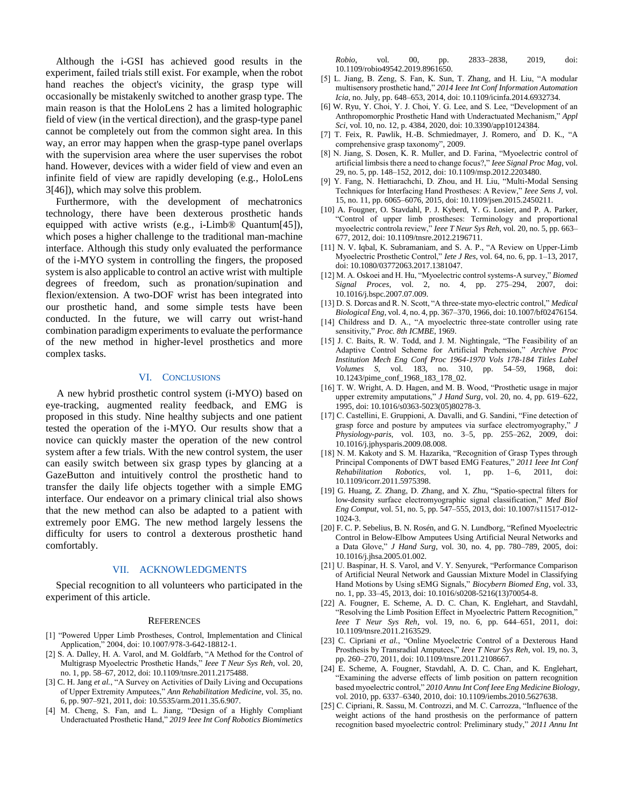Although the i-GSI has achieved good results in the experiment, failed trials still exist. For example, when the robot hand reaches the object's vicinity, the grasp type will occasionally be mistakenly switched to another grasp type. The main reason is that the HoloLens 2 has a limited holographic field of view (in the vertical direction), and the grasp-type panel cannot be completely out from the common sight area. In this way, an error may happen when the grasp-type panel overlaps with the supervision area where the user supervises the robot hand. However, devices with a wider field of view and even an infinite field of view are rapidly developing (e.g., HoloLens 3[46]), which may solve this problem.

Furthermore, with the development of mechatronics technology, there have been dexterous prosthetic hands equipped with active wrists (e.g., i-Limb® Quantum[45]), which poses a higher challenge to the traditional man-machine interface. Although this study only evaluated the performance of the i-MYO system in controlling the fingers, the proposed system is also applicable to control an active wrist with multiple degrees of freedom, such as pronation/supination and flexion/extension. A two-DOF wrist has been integrated into our prosthetic hand, and some simple tests have been conducted. In the future, we will carry out wrist-hand combination paradigm experiments to evaluate the performance of the new method in higher-level prosthetics and more complex tasks.

#### VI. CONCLUSIONS

A new hybrid prosthetic control system (i-MYO) based on eye-tracking, augmented reality feedback, and EMG is proposed in this study. Nine healthy subjects and one patient tested the operation of the i-MYO. Our results show that a novice can quickly master the operation of the new control system after a few trials. With the new control system, the user can easily switch between six grasp types by glancing at a GazeButton and intuitively control the prosthetic hand to transfer the daily life objects together with a simple EMG interface. Our endeavor on a primary clinical trial also shows that the new method can also be adapted to a patient with extremely poor EMG. The new method largely lessens the difficulty for users to control a dexterous prosthetic hand comfortably.

## VII. ACKNOWLEDGMENTS

Special recognition to all volunteers who participated in the experiment of this article.

#### **REFERENCES**

- [1] "Powered Upper Limb Prostheses, Control, Implementation and Clinical Application," 2004, doi: 10.1007/978-3-642-18812-1.
- [2] S. A. Dalley, H. A. Varol, and M. Goldfarb, "A Method for the Control of Multigrasp Myoelectric Prosthetic Hands," *Ieee T Neur Sys Reh*, vol. 20, no. 1, pp. 58–67, 2012, doi: 10.1109/tnsre.2011.2175488.
- [3] C. H. Jang *et al.*, "A Survey on Activities of Daily Living and Occupations of Upper Extremity Amputees," *Ann Rehabilitation Medicine*, vol. 35, no. 6, pp. 907–921, 2011, doi: 10.5535/arm.2011.35.6.907.
- [4] M. Cheng, S. Fan, and L. Jiang, "Design of a Highly Compliant Underactuated Prosthetic Hand," *2019 Ieee Int Conf Robotics Biomimetics*

*Robio*, vol. 00, pp. 2833–2838, 2019, doi: 10.1109/robio49542.2019.8961650.

- [5] L. Jiang, B. Zeng, S. Fan, K. Sun, T. Zhang, and H. Liu, "A modular multisensory prosthetic hand," *2014 Ieee Int Conf Information Automation Icia*, no. July, pp. 648–653, 2014, doi: 10.1109/icinfa.2014.6932734.
- [6] W. Ryu, Y. Choi, Y. J. Choi, Y. G. Lee, and S. Lee, "Development of an Anthropomorphic Prosthetic Hand with Underactuated Mechanism," *Appl Sci*, vol. 10, no. 12, p. 4384, 2020, doi: 10.3390/app10124384.
- [7] T. Feix, R. Pawlik, H.-B. Schmiedmayer, J. Romero, and ́ D. K., "A comprehensive grasp taxonomy", 2009.
- [8] N. Jiang, S. Dosen, K. R. Muller, and D. Farina, "Myoelectric control of artificial limbsis there a need to change focus?," *Ieee Signal Proc Mag*, vol. 29, no. 5, pp. 148–152, 2012, doi: 10.1109/msp.2012.2203480.
- [9] Y. Fang, N. Hettiarachchi, D. Zhou, and H. Liu, "Multi-Modal Sensing Techniques for Interfacing Hand Prostheses: A Review," *Ieee Sens J*, vol. 15, no. 11, pp. 6065–6076, 2015, doi: 10.1109/jsen.2015.2450211.
- [10] A. Fougner, O. Stavdahl, P. J. Kyberd, Y. G. Losier, and P. A. Parker, "Control of upper limb prostheses: Terminology and proportional myoelectric controla review," *Ieee T Neur Sys Reh*, vol. 20, no. 5, pp. 663– 677, 2012, doi: 10.1109/tnsre.2012.2196711.
- [11] N. V. Iqbal, K. Subramaniam, and S. A. P., "A Review on Upper-Limb Myoelectric Prosthetic Control," *Iete J Res*, vol. 64, no. 6, pp. 1–13, 2017, doi: 10.1080/03772063.2017.1381047.
- [12] M. A. Oskoei and H. Hu, "Myoelectric control systems-A survey," *Biomed Signal Proces*, vol. 2, no. 4, pp. 275–294, 2007, doi: 10.1016/j.bspc.2007.07.009.
- [13] D. S. Dorcas and R. N. Scott, "A three-state myo-electric control," *Medical Biological Eng*, vol. 4, no. 4, pp. 367–370, 1966, doi: 10.1007/bf02476154.
- [14] Childress and D. A., "A myoelectric three-state controller using rate sensitivity," *Proc. 8th ICMBE*, 1969.
- [15] J. C. Baits, R. W. Todd, and J. M. Nightingale, "The Feasibility of an Adaptive Control Scheme for Artificial Prehension," *Archive Proc Institution Mech Eng Conf Proc 1964-1970 Vols 178-184 Titles Label Volumes S*, vol. 183, no. 310, pp. 54–59, 1968, doi: 10.1243/pime\_conf\_1968\_183\_178\_02.
- [16] T. W. Wright, A. D. Hagen, and M. B. Wood, "Prosthetic usage in major upper extremity amputations," *J Hand Surg*, vol. 20, no. 4, pp. 619–622, 1995, doi: 10.1016/s0363-5023(05)80278-3.
- [17] C. Castellini, E. Gruppioni, A. Davalli, and G. Sandini, "Fine detection of grasp force and posture by amputees via surface electromyography," *J Physiology-paris*, vol. 103, no. 3–5, pp. 255–262, 2009, doi: 10.1016/j.jphysparis.2009.08.008.
- [18] N. M. Kakoty and S. M. Hazarika, "Recognition of Grasp Types through Principal Components of DWT based EMG Features," *2011 Ieee Int Conf Rehabilitation Robotics*, vol. 1, pp. 1–6, 2011, doi: 10.1109/icorr.2011.5975398.
- [19] G. Huang, Z. Zhang, D. Zhang, and X. Zhu, "Spatio-spectral filters for low-density surface electromyographic signal classification," *Med Biol Eng Comput*, vol. 51, no. 5, pp. 547–555, 2013, doi: 10.1007/s11517-012- 1024-3.
- [20] F. C. P. Sebelius, B. N. Rosén, and G. N. Lundborg, "Refined Myoelectric Control in Below-Elbow Amputees Using Artificial Neural Networks and a Data Glove," *J Hand Surg*, vol. 30, no. 4, pp. 780–789, 2005, doi: 10.1016/j.jhsa.2005.01.002.
- [21] U. Baspinar, H. S. Varol, and V. Y. Senyurek, "Performance Comparison of Artificial Neural Network and Gaussian Mixture Model in Classifying Hand Motions by Using sEMG Signals," *Biocybern Biomed Eng*, vol. 33, no. 1, pp. 33–45, 2013, doi: 10.1016/s0208-5216(13)70054-8.
- [22] A. Fougner, E. Scheme, A. D. C. Chan, K. Englehart, and Stavdahl, "Resolving the Limb Position Effect in Myoelectric Pattern Recognition," *Ieee T Neur Sys Reh*, vol. 19, no. 6, pp. 644–651, 2011, doi: 10.1109/tnsre.2011.2163529.
- [23] C. Cipriani *et al.*, "Online Myoelectric Control of a Dexterous Hand Prosthesis by Transradial Amputees," *Ieee T Neur Sys Reh*, vol. 19, no. 3, pp. 260–270, 2011, doi: 10.1109/tnsre.2011.2108667.
- [24] E. Scheme, A. Fougner, Stavdahl, A. D. C. Chan, and K. Englehart, "Examining the adverse effects of limb position on pattern recognition based myoelectric control," *2010 Annu Int Conf Ieee Eng Medicine Biology*, vol. 2010, pp. 6337–6340, 2010, doi: 10.1109/iembs.2010.5627638.
- [25] C. Cipriani, R. Sassu, M. Controzzi, and M. C. Carrozza, "Influence of the weight actions of the hand prosthesis on the performance of pattern recognition based myoelectric control: Preliminary study," *2011 Annu Int*